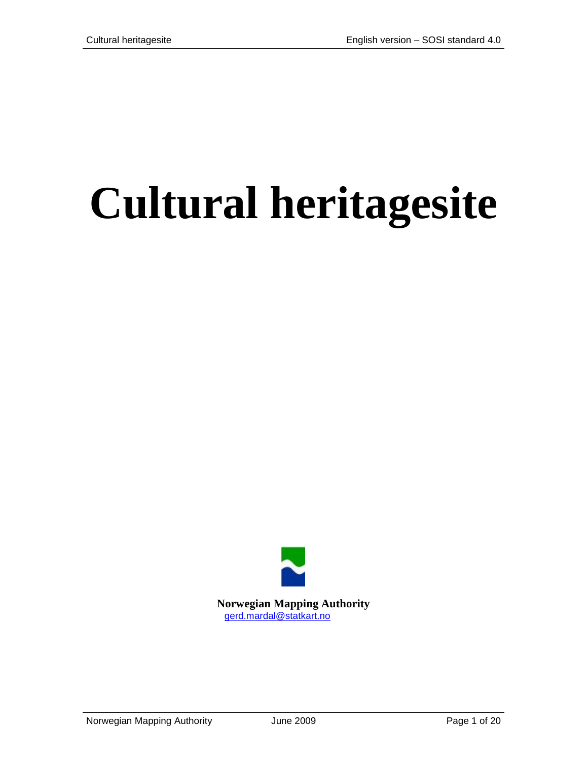# **Cultural heritagesite**

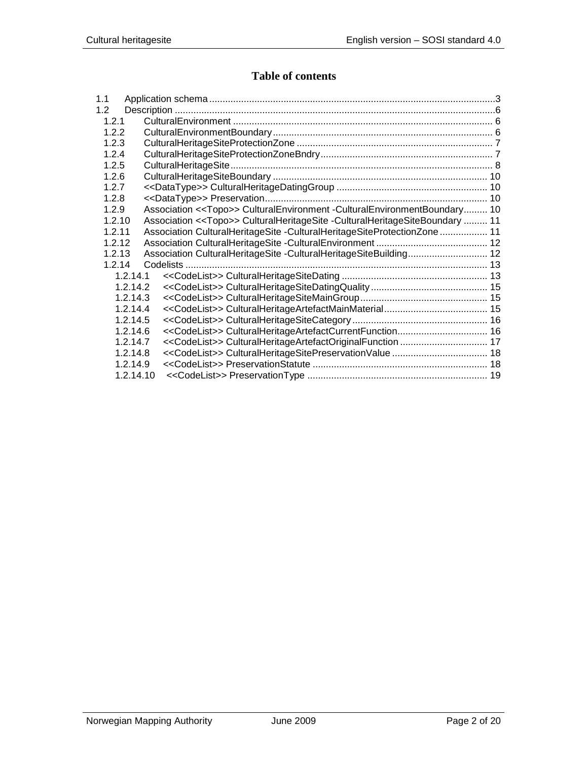## **Table of contents**

| 1.1              |           |                                                                                        |  |
|------------------|-----------|----------------------------------------------------------------------------------------|--|
| 1.2 <sub>1</sub> |           |                                                                                        |  |
| 1.2.1            |           |                                                                                        |  |
| 1.2.2            |           |                                                                                        |  |
| 1.2.3            |           |                                                                                        |  |
| 1.2.4            |           |                                                                                        |  |
| 1.2.5            |           |                                                                                        |  |
| 1.2.6            |           |                                                                                        |  |
| 1.2.7            |           |                                                                                        |  |
| 1.2.8            |           |                                                                                        |  |
| 1.2.9            |           | Association << Topo>> CulturalEnvironment - CulturalEnvironmentBoundary 10             |  |
| 1.2.10           |           | Association < <topo>&gt; CulturalHeritageSite -CulturalHeritageSiteBoundary  11</topo> |  |
| 1.2.11           |           | Association CulturalHeritageSite -CulturalHeritageSiteProtectionZone  11               |  |
| 1.2.12           |           |                                                                                        |  |
| 1.2.13           |           |                                                                                        |  |
| 1.2.14           |           |                                                                                        |  |
|                  | 1.2.14.1  |                                                                                        |  |
|                  | 1.2.14.2  |                                                                                        |  |
|                  | 1.2.14.3  |                                                                                        |  |
|                  | 1.2.14.4  |                                                                                        |  |
|                  | 1.2.14.5  |                                                                                        |  |
|                  | 1.2.14.6  |                                                                                        |  |
|                  | 1.2.14.7  |                                                                                        |  |
|                  | 1.2.14.8  |                                                                                        |  |
|                  | 1.2.14.9  |                                                                                        |  |
|                  | 1.2.14.10 |                                                                                        |  |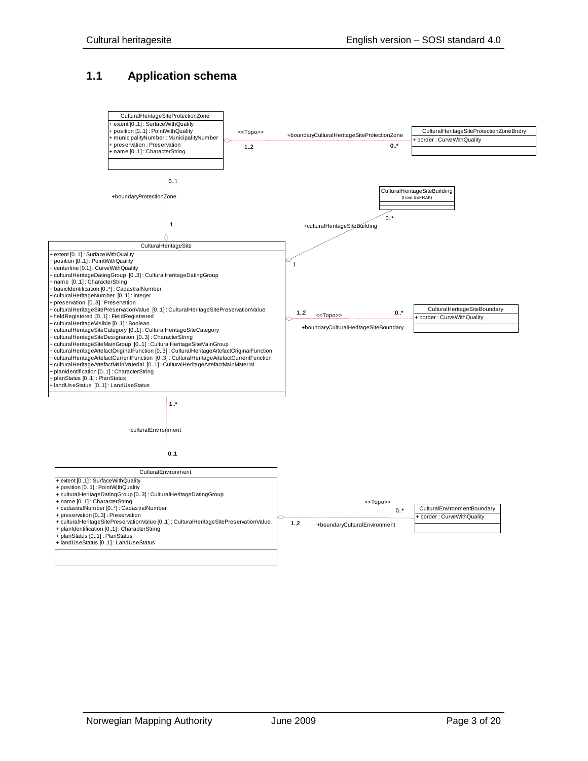# <span id="page-2-0"></span>**1.1 Application schema**

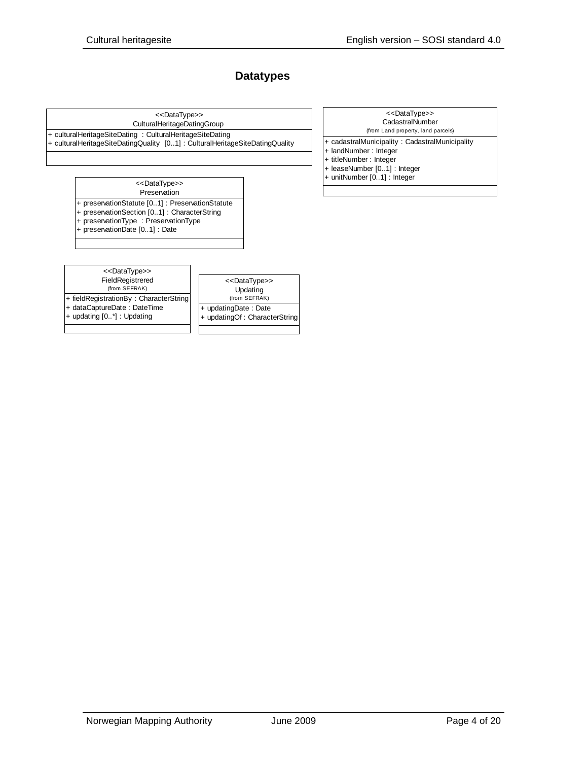### **Datatypes**

CulturalHeritageDatingGroup <<DataType>>

+ culturalHeritageSiteDating : CulturalHeritageSiteDating

+ culturalHeritageSiteDatingQuality [0..1] : CulturalHeritageSiteDatingQuality

- CadastralNumber (from Land property, land parcels) <<DataType>>
- + cadastralMunicipality : CadastralMunicipality
- + landNumber : Integer
- + titleNumber : Integer
- + leaseNumber [0..1] : Integer
- + unitNumber [0..1] : Integer

Preservation <<DataType>>

+ preservationStatute [0..1] : PreservationStatute

+ preservationSection [0..1] : CharacterString

+ preservationType : PreservationType

+ preservationDate [0..1] : Date

FieldRegistrered (from SEFRAK) <<DataType>>

+ fieldRegistrationBy : CharacterString + dataCaptureDate : DateTime

+ updating [0..\*] : Updating

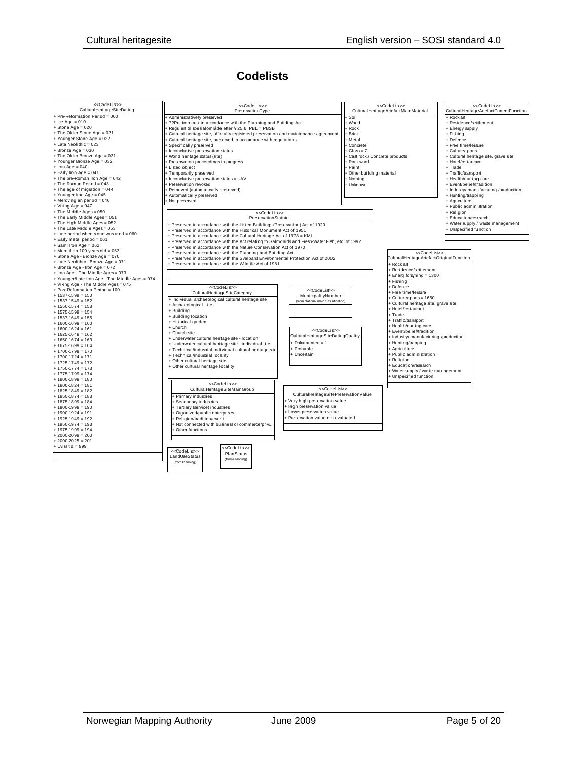# **Codelists**

| < <codelist>&gt;<br/>CulturalHeritageSiteDating</codelist> | < <codelist>&gt;<br/>PreservationType</codelist>                                                |                                       |                           | < <codelist>&gt;</codelist>                  |                             | < <codelist>&gt;<br/>CulturalHeritageArtefactCurrentFunction</codelist> |
|------------------------------------------------------------|-------------------------------------------------------------------------------------------------|---------------------------------------|---------------------------|----------------------------------------------|-----------------------------|-------------------------------------------------------------------------|
| + Pre-Reformation Period = 000                             |                                                                                                 |                                       |                           | CulturalHeritageArtefactMainMaterial         |                             |                                                                         |
|                                                            | + Administratively preserved                                                                    |                                       | + Soil                    |                                              | <b>Rockart</b>              |                                                                         |
| $+$ Ice Age = 010<br>$+$ Stone Age = 020                   | + ??Put into trust in accordance with the Planning and Building Act                             |                                       | + Wood                    |                                              | + Residence/settlement      |                                                                         |
| + The Older Stone Age = 021                                | + Regulert til spesialområde etter § 25.6, PBL = PBSB                                           |                                       | + Rock                    |                                              | + Energy supply             |                                                                         |
| + Younger Stone Age = 022                                  | Fultural heritage site, officially registered preservation and maintenance agreement            |                                       | + Brick                   |                                              | + Fishing                   |                                                                         |
| + Late Neolithic = 023                                     | + Cultural heritage site, preserved in accordance with regulations                              |                                       | + Metal                   |                                              | + Defence                   |                                                                         |
| $+$ Bronze Age = 030                                       | + Specifically preserved                                                                        |                                       | + Concrete                |                                              | + Free time/leisure         |                                                                         |
| + The Older Bronze Age = 031                               | + Inconclusive preservation status                                                              |                                       | $+$ Glass = 7             |                                              | + Culture/sports            |                                                                         |
| + Younger Bronze Age = 032                                 | + World heritage status (site)                                                                  |                                       |                           | + Cast rock / Concrete products              |                             | + Cultural heritage site, grave site                                    |
| $+$ Iron Age = 040                                         | + Preservation proceedings in progress                                                          |                                       | + Rock wool               |                                              | + Hotel/restaurant          |                                                                         |
| $+$ Early Iron Age = 041                                   | + Listed object                                                                                 |                                       | + Paint                   |                                              | + Trade                     |                                                                         |
| + The pre-Roman Iron Age = 042                             | + Temporarily preserved                                                                         |                                       | + Other building material |                                              | + Traffic/transport         |                                                                         |
| + The Roman Period = 043                                   | $\vert$ + Inconclusive preservation status = UAV                                                |                                       | + Nothing                 |                                              | + Health/nursing care       |                                                                         |
| $+$ The age of migration = 044                             | + Preservation revoked                                                                          |                                       | + Unknown                 |                                              | + Event/belief/tradition    |                                                                         |
| + Younger Iron Age = 045                                   | + Removed (automatically preserved)                                                             |                                       |                           |                                              |                             | + Industry/ manufacturing /production                                   |
| + Merovingian period = 046                                 | + Automatically preserved                                                                       |                                       |                           |                                              | + Hunting/trapping          |                                                                         |
| + Viking Age = $047$                                       | + Not preserved                                                                                 |                                       |                           |                                              | + Agriculture               |                                                                         |
| + The Middle Ages = 050                                    |                                                                                                 |                                       |                           |                                              | + Public administration     |                                                                         |
| + The Early Middle Ages = 051                              | < <codelist>&gt;<br/><b>PreservationStatute</b></codelist>                                      |                                       |                           |                                              | + Religion                  |                                                                         |
| + The High Middle Ages = 052                               |                                                                                                 |                                       |                           |                                              | + Education/research        |                                                                         |
| + The Late Middle Ages = 053                               | + Preserved in accordance with the Listed Buildings (Preservation) Act of 1920                  |                                       |                           |                                              |                             | Water supply / waste management                                         |
| + Late period when stone was used = 060                    | + Preserved in accordance with the Historical Monument Act of 1951                              |                                       |                           |                                              | <b>Unspecified function</b> |                                                                         |
| + Early metal period = 061                                 | + Preserved in accordance with the Cultural Heritage Act of 1978 = KML                          |                                       |                           |                                              |                             |                                                                         |
| + Sami Iron Age = 062                                      | + Preserved in accordance with the Act relating to Salmonids and Fresh-Water Fish, etc. of 1992 |                                       |                           |                                              |                             |                                                                         |
| $+$ More than 100 years old = 063                          | + Preserved in accordance with the Nature Conservation Act of 1970                              |                                       |                           |                                              |                             |                                                                         |
| + Stone Age - Bronze Age = 070                             | + Preserved in accordance with the Planning and Building Act                                    |                                       |                           | < <codelist>&gt;</codelist>                  |                             |                                                                         |
| + Late Neolithic - Bronze Age = 071                        | + Preserved in accordance with the Svalbard Environmental Protection Act of 2002                |                                       |                           | CulturalHeritageArtefactOriginalFunction     |                             |                                                                         |
| + Bronze Age - Iron Age = 072                              | + Preserved in accordance with the Wildlife Act of 1981                                         |                                       |                           | + Rock art                                   |                             |                                                                         |
| + Iron Age - The Middle Ages = 073                         |                                                                                                 |                                       |                           | + Residence/settlement                       |                             |                                                                         |
| + Younger/Late Iron Age - The Middle Ages = 074            |                                                                                                 |                                       |                           | + Energiforsyning = 1300                     |                             |                                                                         |
| + Viking Age - The Middle Ages = 075                       |                                                                                                 |                                       |                           | + Fishing                                    |                             |                                                                         |
| + Post-Reformation Period = 100                            | < <codelist>&gt;</codelist>                                                                     | < <codelist>&gt;</codelist>           |                           | + Defence                                    |                             |                                                                         |
| $+ 1537 - 1599 = 150$                                      | CulturalHeritageSiteCategory                                                                    | MunicipalityNumber                    |                           | + Free time/leisure                          |                             |                                                                         |
| $+ 1537 - 1549 = 152$                                      | + Individual archaeological cultural heritage site                                              | (from National main classification)   |                           | + Culture/sports = 1650                      |                             |                                                                         |
| $+ 1550 - 1574 = 153$                                      | + Archaeological site                                                                           |                                       |                           | + Cultural heritage site, grave site         |                             |                                                                         |
| $+ 1575 - 1599 = 154$                                      | + Building                                                                                      |                                       |                           | + Hotel/restaurant                           |                             |                                                                         |
| $+ 1537 - 1649 = 155$                                      | + Building location                                                                             |                                       |                           | + Trade                                      |                             |                                                                         |
| $+ 1600 - 1699 = 160$                                      | + Historical garden                                                                             |                                       |                           | + Traffic/transport<br>+ Health/nursing care |                             |                                                                         |
| $+ 1600 - 1624 = 161$                                      | + Church                                                                                        | < <codelist>&gt;</codelist>           |                           |                                              |                             |                                                                         |
| $+ 1625 - 1649 = 162$                                      | + Church site                                                                                   | CulturalHeritageSiteDatingQuality     |                           | + Event/belief/tradition                     |                             |                                                                         |
| $+ 1650 - 1674 = 163$                                      | + Underwater cultural heritage site - location                                                  | + Dokumentert = 1                     |                           | + Industry/ manufacturing /production        |                             |                                                                         |
| $+ 1675 - 1699 = 164$                                      | + Underwater cultural heritage site - individual site                                           | + Probable                            |                           | + Hunting/trapping<br>+ Agriculture          |                             |                                                                         |
| $+ 1700 - 1799 = 170$                                      | + Technical/industrial individual cultural heritage site                                        | + Uncertain                           |                           | + Public administration                      |                             |                                                                         |
| $+ 1700 - 1724 = 171$                                      | + Technical/industrial locality                                                                 |                                       |                           | + Religion                                   |                             |                                                                         |
| $+ 1725 - 1749 = 172$                                      | + Other cultural heritage site                                                                  |                                       |                           | + Education/research                         |                             |                                                                         |
| $+ 1750 - 1774 = 173$                                      | + Other cultural heritage locality                                                              |                                       |                           | + Water supply / waste management            |                             |                                                                         |
| $+ 1775 - 1799 = 174$                                      |                                                                                                 |                                       |                           | + Unspecified function                       |                             |                                                                         |
| $+ 1800 - 1899 = 180$                                      |                                                                                                 |                                       |                           |                                              |                             |                                                                         |
| $+ 1800 - 1824 = 181$                                      | < <codelist>&gt;</codelist>                                                                     | < <codelist>&gt;</codelist>           |                           |                                              |                             |                                                                         |
| $+ 1825 - 1849 = 182$                                      | CulturalHeritageSiteMainGroup                                                                   | CulturalHeritageSitePreservationValue |                           |                                              |                             |                                                                         |
| $+ 1850 - 1874 = 183$                                      | + Primary industries                                                                            |                                       |                           |                                              |                             |                                                                         |
| $+ 1875 - 1899 = 184$                                      | + Secondary industries                                                                          | Very high preservation value          |                           |                                              |                             |                                                                         |
| $+ 1900 - 1999 = 190$                                      | + Tertiary (service) industries                                                                 | + High preservation value             |                           |                                              |                             |                                                                         |
| $+ 1900 - 1924 = 191$                                      | + Organized/public enterprises                                                                  | <b>Lower preservation value</b>       |                           |                                              |                             |                                                                         |
| $+ 1925 - 1949 = 192$                                      | + Religion/tradition/event                                                                      | + Preservation value not evaluated    |                           |                                              |                             |                                                                         |
| $+ 1950 - 1974 = 193$                                      | + Not connected with business or commerce/priva                                                 |                                       |                           |                                              |                             |                                                                         |
| $+ 1975 - 1999 = 194$                                      | + Other functions                                                                               |                                       |                           |                                              |                             |                                                                         |
| $+2000-2099=200$                                           |                                                                                                 |                                       |                           |                                              |                             |                                                                         |
| $+2000-2025=201$                                           |                                                                                                 |                                       |                           |                                              |                             |                                                                         |
| $+$ Uviss tid = 999                                        | < <codelist>&gt;<br/>&lt;<codelist>&gt;</codelist></codelist>                                   |                                       |                           |                                              |                             |                                                                         |
|                                                            | PlanStatus<br>LandUseStatus                                                                     |                                       |                           |                                              |                             |                                                                         |
|                                                            | (from Planning)<br>(from Planning)                                                              |                                       |                           |                                              |                             |                                                                         |
|                                                            |                                                                                                 |                                       |                           |                                              |                             |                                                                         |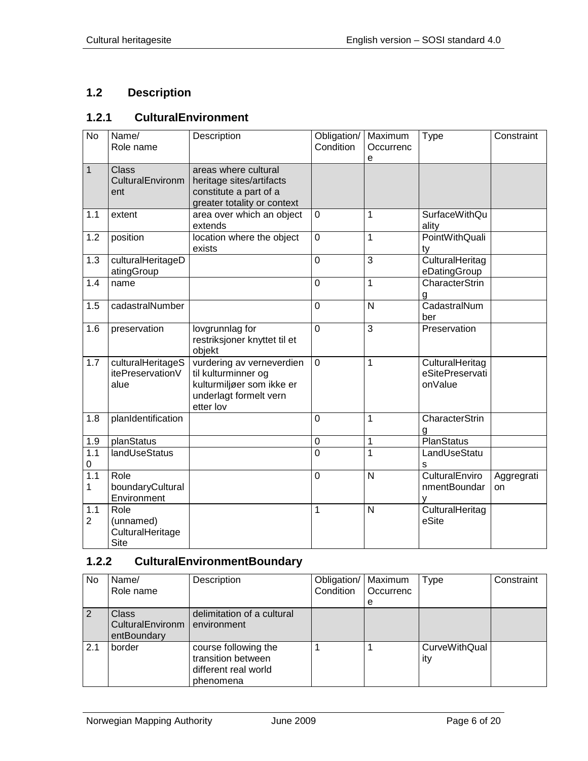# <span id="page-5-0"></span>**1.2 Description**

## <span id="page-5-1"></span>**1.2.1 CulturalEnvironment**

| $\overline{N}$        | Name/<br>Role name                                   | Description                                                                                                          | Obligation/<br>Condition | Maximum<br>Occurrenc<br>e | Type                                          | Constraint       |
|-----------------------|------------------------------------------------------|----------------------------------------------------------------------------------------------------------------------|--------------------------|---------------------------|-----------------------------------------------|------------------|
| $\overline{1}$        | <b>Class</b><br>CulturalEnvironm<br>ent              | areas where cultural<br>heritage sites/artifacts<br>constitute a part of a<br>greater totality or context            |                          |                           |                                               |                  |
| 1.1                   | extent                                               | area over which an object<br>extends                                                                                 | 0                        | 1                         | <b>SurfaceWithQu</b><br>ality                 |                  |
| 1.2                   | position                                             | location where the object<br>exists                                                                                  | 0                        | 1                         | PointWithQuali<br>tv                          |                  |
| 1.3                   | culturalHeritageD<br>atingGroup                      |                                                                                                                      | $\overline{0}$           | 3                         | CulturalHeritag<br>eDatingGroup               |                  |
| 1.4                   | name                                                 |                                                                                                                      | $\overline{0}$           | 1                         | CharacterStrin<br>g                           |                  |
| 1.5                   | cadastralNumber                                      |                                                                                                                      | 0                        | $\mathsf{N}$              | CadastralNum<br>ber                           |                  |
| 1.6                   | preservation                                         | lovgrunnlag for<br>restriksjoner knyttet til et<br>objekt                                                            | $\overline{0}$           | 3                         | Preservation                                  |                  |
| 1.7                   | culturalHeritageS<br>itePreservationV<br>alue        | vurdering av verneverdien<br>til kulturminner og<br>kulturmiljøer som ikke er<br>underlagt formelt vern<br>etter lov | $\overline{0}$           | 1                         | CulturalHeritag<br>eSitePreservati<br>onValue |                  |
| 1.8                   | planIdentification                                   |                                                                                                                      | $\overline{0}$           | 1                         | CharacterStrin<br>g                           |                  |
| 1.9                   | planStatus                                           |                                                                                                                      | $\mathbf 0$              | 1                         | <b>PlanStatus</b>                             |                  |
| 1.1<br>0              | landUseStatus                                        |                                                                                                                      | $\mathbf 0$              | 1                         | LandUseStatu<br>S                             |                  |
| 1.1<br>1              | Role<br>boundaryCultural<br>Environment              |                                                                                                                      | $\overline{0}$           | N                         | CulturalEnviro<br>nmentBoundar                | Aggregrati<br>on |
| 1.1<br>$\overline{2}$ | Role<br>(unnamed)<br>CulturalHeritage<br><b>Site</b> |                                                                                                                      | 1                        | $\overline{N}$            | CulturalHeritag<br>eSite                      |                  |

# <span id="page-5-2"></span>**1.2.2 CulturalEnvironmentBoundary**

| No  | Name/<br>Role name                              | Description                                                                     | Obligation/<br>Condition | Maximum<br>Occurrenc<br>e | Type                        | Constraint |
|-----|-------------------------------------------------|---------------------------------------------------------------------------------|--------------------------|---------------------------|-----------------------------|------------|
| 2   | <b>Class</b><br>CulturalEnvironm<br>entBoundary | delimitation of a cultural<br>environment                                       |                          |                           |                             |            |
| 2.1 | border                                          | course following the<br>transition between<br>different real world<br>phenomena |                          |                           | <b>CurveWithQual</b><br>ity |            |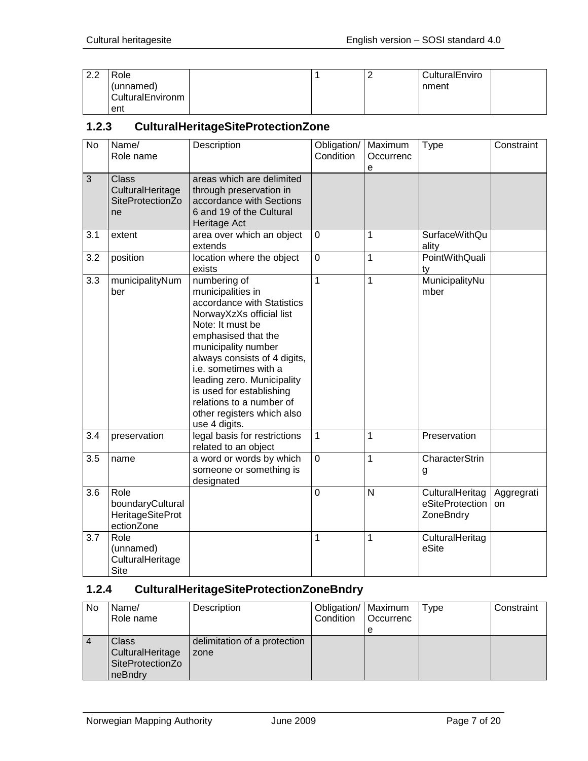| ററ<br>$\sim$ . $\sim$ | Role                            |  | CulturalEnviro |
|-----------------------|---------------------------------|--|----------------|
|                       | (unnamed)<br>  CulturalEnvironm |  | nment          |
|                       | ent                             |  |                |

#### <span id="page-6-0"></span>**1.2.3 CulturalHeritageSiteProtectionZone**

| <b>No</b> | Name/<br>Role name                                                | Description                                                                                                                                                                                                                                                                                                                                                 | Obligation/<br>Condition | Maximum<br>Occurrenc<br>e | <b>Type</b>                                     | Constraint       |
|-----------|-------------------------------------------------------------------|-------------------------------------------------------------------------------------------------------------------------------------------------------------------------------------------------------------------------------------------------------------------------------------------------------------------------------------------------------------|--------------------------|---------------------------|-------------------------------------------------|------------------|
| 3         | <b>Class</b><br>CulturalHeritage<br>SiteProtectionZo<br>ne        | areas which are delimited<br>through preservation in<br>accordance with Sections<br>6 and 19 of the Cultural<br>Heritage Act                                                                                                                                                                                                                                |                          |                           |                                                 |                  |
| 3.1       | extent                                                            | area over which an object<br>extends                                                                                                                                                                                                                                                                                                                        | $\mathbf 0$              | 1                         | <b>SurfaceWithQu</b><br>ality                   |                  |
| 3.2       | position                                                          | location where the object<br>exists                                                                                                                                                                                                                                                                                                                         | $\mathbf 0$              | 1                         | <b>PointWithQuali</b><br>ty                     |                  |
| 3.3       | municipalityNum<br>ber                                            | numbering of<br>municipalities in<br>accordance with Statistics<br>NorwayXzXs official list<br>Note: It must be<br>emphasised that the<br>municipality number<br>always consists of 4 digits,<br>i.e. sometimes with a<br>leading zero. Municipality<br>is used for establishing<br>relations to a number of<br>other registers which also<br>use 4 digits. | 1                        | 1                         | MunicipalityNu<br>mber                          |                  |
| 3.4       | preservation                                                      | legal basis for restrictions<br>related to an object                                                                                                                                                                                                                                                                                                        | 1                        | 1                         | Preservation                                    |                  |
| 3.5       | name                                                              | a word or words by which<br>someone or something is<br>designated                                                                                                                                                                                                                                                                                           | $\overline{0}$           | 1                         | CharacterStrin<br>g                             |                  |
| 3.6       | Role<br>boundaryCultural<br><b>HeritageSiteProt</b><br>ectionZone |                                                                                                                                                                                                                                                                                                                                                             | $\mathbf 0$              | $\mathsf{N}$              | CulturalHeritag<br>eSiteProtection<br>ZoneBndry | Aggregrati<br>on |
| 3.7       | Role<br>(unnamed)<br>CulturalHeritage<br><b>Site</b>              |                                                                                                                                                                                                                                                                                                                                                             | 1                        | 1                         | CulturalHeritag<br>eSite                        |                  |

# <span id="page-6-1"></span>**1.2.4 CulturalHeritageSiteProtectionZoneBndry**

| No             | Name/<br>Role name                                              | Description                          | Obligation/   Maximum<br>Condition | Occurrenc<br>е | Type | Constraint |
|----------------|-----------------------------------------------------------------|--------------------------------------|------------------------------------|----------------|------|------------|
| $\overline{4}$ | Class<br><b>CulturalHeritage</b><br>SiteProtectionZo<br>neBndry | delimitation of a protection<br>zone |                                    |                |      |            |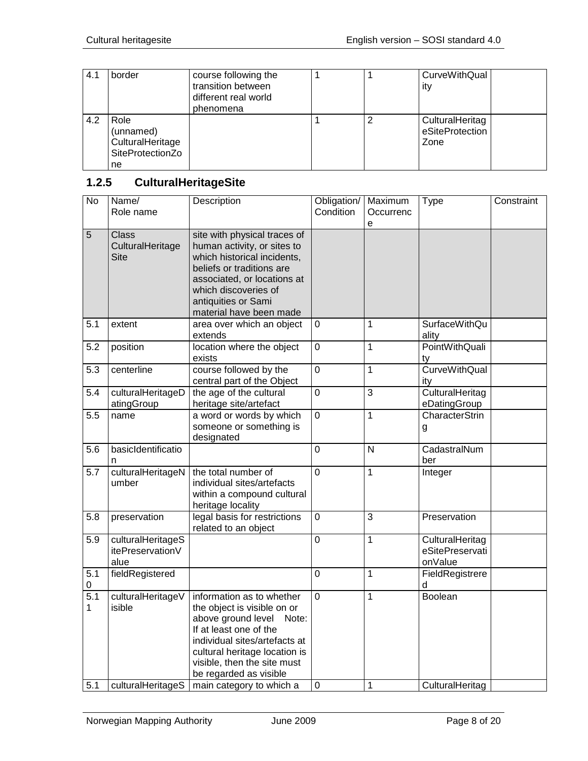| 4.1 | border                                                          | course following the<br>transition between<br>different real world<br>phenomena |   | CurveWithQual<br>ity                       |
|-----|-----------------------------------------------------------------|---------------------------------------------------------------------------------|---|--------------------------------------------|
| 4.2 | Role<br>(unnamed)<br>CulturalHeritage<br>SiteProtectionZo<br>ne |                                                                                 | 2 | CulturalHeritag<br>eSiteProtection<br>Zone |

# <span id="page-7-0"></span>**1.2.5 CulturalHeritageSite**

| <b>No</b> | Name/<br>Role name                              | Description                                                                                                                                                                                                                                  | Obligation/<br>Condition | Maximum<br>Occurrenc<br>е | <b>Type</b>                                   | Constraint |
|-----------|-------------------------------------------------|----------------------------------------------------------------------------------------------------------------------------------------------------------------------------------------------------------------------------------------------|--------------------------|---------------------------|-----------------------------------------------|------------|
| 5         | <b>Class</b><br>CulturalHeritage<br><b>Site</b> | site with physical traces of<br>human activity, or sites to<br>which historical incidents,<br>beliefs or traditions are<br>associated, or locations at<br>which discoveries of<br>antiquities or Sami<br>material have been made             |                          |                           |                                               |            |
| 5.1       | extent                                          | area over which an object<br>extends                                                                                                                                                                                                         | $\overline{0}$           | $\mathbf{1}$              | <b>SurfaceWithQu</b><br>ality                 |            |
| 5.2       | position                                        | location where the object<br>exists                                                                                                                                                                                                          | $\mathbf 0$              | 1                         | <b>PointWithQuali</b><br>ty                   |            |
| 5.3       | centerline                                      | course followed by the<br>central part of the Object                                                                                                                                                                                         | $\mathbf 0$              | $\mathbf{1}$              | CurveWithQual<br>ity                          |            |
| 5.4       | culturalHeritageD<br>atingGroup                 | the age of the cultural<br>heritage site/artefact                                                                                                                                                                                            | $\mathbf 0$              | $\overline{3}$            | CulturalHeritag<br>eDatingGroup               |            |
| 5.5       | name                                            | a word or words by which<br>someone or something is<br>designated                                                                                                                                                                            | $\overline{0}$           | $\mathbf{1}$              | CharacterStrin<br>g                           |            |
| 5.6       | basicIdentificatio<br>n                         |                                                                                                                                                                                                                                              | 0                        | $\mathsf{N}$              | CadastralNum<br>ber                           |            |
| 5.7       | culturalHeritageN<br>umber                      | the total number of<br>individual sites/artefacts<br>within a compound cultural<br>heritage locality                                                                                                                                         | $\overline{0}$           | 1                         | Integer                                       |            |
| 5.8       | preservation                                    | legal basis for restrictions<br>related to an object                                                                                                                                                                                         | $\overline{0}$           | 3                         | Preservation                                  |            |
| 5.9       | culturalHeritageS<br>itePreservationV<br>alue   |                                                                                                                                                                                                                                              | 0                        | $\mathbf{1}$              | CulturalHeritag<br>eSitePreservati<br>onValue |            |
| 5.1<br>0  | fieldRegistered                                 |                                                                                                                                                                                                                                              | $\overline{0}$           | $\mathbf{1}$              | FieldRegistrere<br>d                          |            |
| 5.1<br>1  | culturalHeritageV<br>isible                     | information as to whether<br>the object is visible on or<br>above ground level<br>Note:<br>If at least one of the<br>individual sites/artefacts at<br>cultural heritage location is<br>visible, then the site must<br>be regarded as visible | $\overline{0}$           | $\mathbf{1}$              | Boolean                                       |            |
| 5.1       | culturalHeritageS                               | main category to which a                                                                                                                                                                                                                     | 0                        | 1                         | CulturalHeritag                               |            |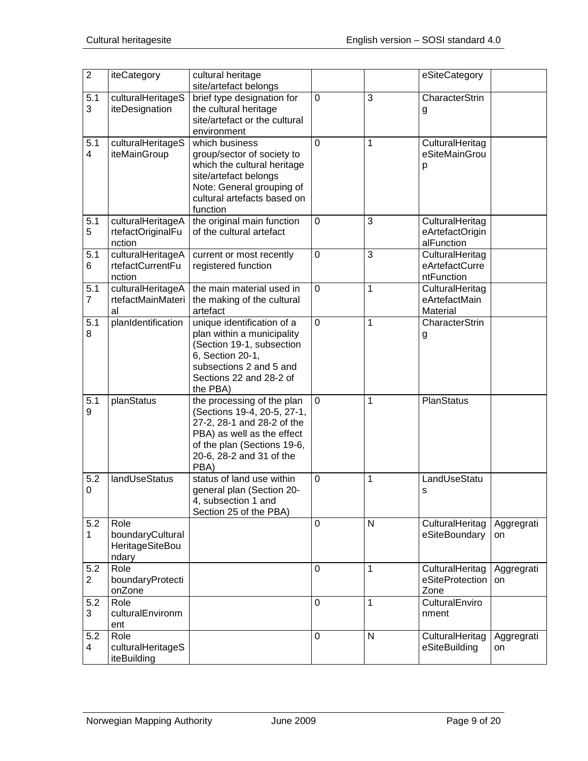| $\overline{2}$        | iteCategory                                          | cultural heritage<br>site/artefact belongs                                                                                                                                               |             |              | eSiteCategory                                    |                  |
|-----------------------|------------------------------------------------------|------------------------------------------------------------------------------------------------------------------------------------------------------------------------------------------|-------------|--------------|--------------------------------------------------|------------------|
| 5.1<br>3              | culturalHeritageS<br>iteDesignation                  | brief type designation for<br>the cultural heritage<br>site/artefact or the cultural<br>environment                                                                                      | $\mathbf 0$ | 3            | CharacterStrin<br>g                              |                  |
| 5.1<br>4              | culturalHeritageS<br>iteMainGroup                    | which business<br>group/sector of society to<br>which the cultural heritage<br>site/artefact belongs<br>Note: General grouping of<br>cultural artefacts based on<br>function             | 0           | 1            | CulturalHeritag<br>eSiteMainGrou<br>р            |                  |
| 5.1<br>5              | culturalHeritageA<br>rtefactOriginalFu<br>nction     | the original main function<br>of the cultural artefact                                                                                                                                   | 0           | 3            | CulturalHeritag<br>eArtefactOrigin<br>alFunction |                  |
| 5.1<br>6              | culturalHeritageA<br>rtefactCurrentFu<br>nction      | current or most recently<br>registered function                                                                                                                                          | $\mathbf 0$ | 3            | CulturalHeritag<br>eArtefactCurre<br>ntFunction  |                  |
| 5.1<br>7              | culturalHeritageA<br>rtefactMainMateri<br>al         | the main material used in<br>the making of the cultural<br>artefact                                                                                                                      | 0           | 1            | CulturalHeritag<br>eArtefactMain<br>Material     |                  |
| 5.1<br>8              | planIdentification                                   | unique identification of a<br>plan within a municipality<br>(Section 19-1, subsection<br>6, Section 20-1,<br>subsections 2 and 5 and<br>Sections 22 and 28-2 of<br>the PBA)              | 0           | 1            | CharacterStrin<br>g                              |                  |
| $\overline{5.1}$<br>9 | planStatus                                           | the processing of the plan<br>(Sections 19-4, 20-5, 27-1,<br>27-2, 28-1 and 28-2 of the<br>PBA) as well as the effect<br>of the plan (Sections 19-6,<br>20-6, 28-2 and 31 of the<br>PBA) | $\mathbf 0$ | 1            | PlanStatus                                       |                  |
| 5.2<br>0              | landUseStatus                                        | status of land use within<br>general plan (Section 20-<br>4, subsection 1 and<br>Section 25 of the PBA)                                                                                  | 0           | 1            | LandUseStatu<br>s                                |                  |
| 5.2<br>1              | Role<br>boundaryCultural<br>HeritageSiteBou<br>ndary |                                                                                                                                                                                          | $\Omega$    | $\mathsf{N}$ | CulturalHeritag<br>eSiteBoundary                 | Aggregrati<br>on |
| 5.2<br>$\overline{2}$ | Role<br>boundaryProtecti<br>onZone                   |                                                                                                                                                                                          | 0           | 1            | CulturalHeritag<br>eSiteProtection<br>Zone       | Aggregrati<br>on |
| 5.2<br>3              | Role<br>culturalEnvironm<br>ent                      |                                                                                                                                                                                          | 0           | 1            | CulturalEnviro<br>nment                          |                  |
| 5.2<br>4              | Role<br>culturalHeritageS<br>iteBuilding             |                                                                                                                                                                                          | 0           | $\mathsf{N}$ | CulturalHeritag<br>eSiteBuilding                 | Aggregrati<br>on |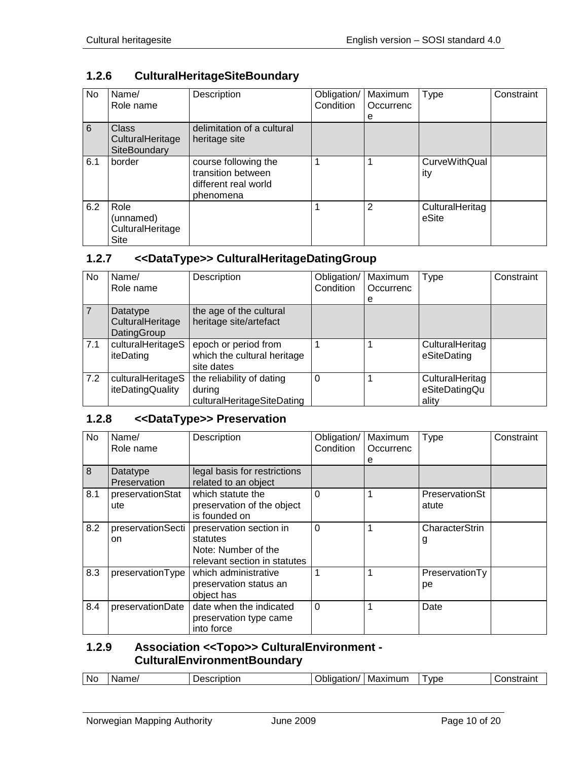## <span id="page-9-0"></span>**1.2.6 CulturalHeritageSiteBoundary**

| No  | Name/<br>Role name                               | Description                                                                     | Obligation/<br>Condition | Maximum<br>Occurrenc<br>e | <b>Type</b>                 | Constraint |
|-----|--------------------------------------------------|---------------------------------------------------------------------------------|--------------------------|---------------------------|-----------------------------|------------|
| 6   | <b>Class</b><br>CulturalHeritage<br>SiteBoundary | delimitation of a cultural<br>heritage site                                     |                          |                           |                             |            |
| 6.1 | border                                           | course following the<br>transition between<br>different real world<br>phenomena |                          |                           | <b>CurveWithQual</b><br>ity |            |
| 6.2 | Role<br>(unnamed)<br>CulturalHeritage<br>Site    |                                                                                 |                          | 2                         | CulturalHeritag<br>eSite    |            |

#### <span id="page-9-1"></span>**1.2.7 <<DataType>> CulturalHeritageDatingGroup**

| No. | Name/<br>Role name                          | Description                                                       | Obligation/<br>Condition | Maximum<br>Occurrenc | Type                                      | Constraint |
|-----|---------------------------------------------|-------------------------------------------------------------------|--------------------------|----------------------|-------------------------------------------|------------|
|     | Datatype<br>CulturalHeritage<br>DatingGroup | the age of the cultural<br>heritage site/artefact                 |                          | е                    |                                           |            |
| 7.1 | culturalHeritageS<br>iteDating              | epoch or period from<br>which the cultural heritage<br>site dates |                          |                      | CulturalHeritag<br>eSiteDating            |            |
| 7.2 | culturalHeritageS<br>iteDatingQuality       | the reliability of dating<br>during<br>culturalHeritageSiteDating | 0                        |                      | CulturalHeritag<br>eSiteDatingQu<br>ality |            |

## <span id="page-9-2"></span>**1.2.8 <<DataType>> Preservation**

| No  | Name/<br>Role name       | Description                                                                                | Obligation/<br>Condition | Maximum<br>Occurrenc<br>е | <b>Type</b>             | Constraint |
|-----|--------------------------|--------------------------------------------------------------------------------------------|--------------------------|---------------------------|-------------------------|------------|
| 8   | Datatype<br>Preservation | legal basis for restrictions<br>related to an object                                       |                          |                           |                         |            |
| 8.1 | preservationStat<br>ute  | which statute the<br>preservation of the object<br>is founded on                           | $\Omega$                 | 1                         | PreservationSt<br>atute |            |
| 8.2 | preservationSecti<br>on  | preservation section in<br>statutes<br>Note: Number of the<br>relevant section in statutes | $\Omega$                 | 1                         | CharacterStrin<br>g     |            |
| 8.3 | preservationType         | which administrative<br>preservation status an<br>object has                               | $\mathbf 1$              | 1                         | PreservationTy<br>рe    |            |
| 8.4 | preservationDate         | date when the indicated<br>preservation type came<br>into force                            | $\overline{0}$           | 1                         | Date                    |            |

#### <span id="page-9-3"></span>**1.2.9 Association <<Topo>> CulturalEnvironment - CulturalEnvironmentBoundary**

| vpe<br><b>illm</b><br>ame,<br>Maxım<br>.<br>.<br>w<br>яю<br>ж<br>ו זכ<br> |  | <b>No</b> |  |  |  |  |  | $    -$ |
|---------------------------------------------------------------------------|--|-----------|--|--|--|--|--|---------|
|---------------------------------------------------------------------------|--|-----------|--|--|--|--|--|---------|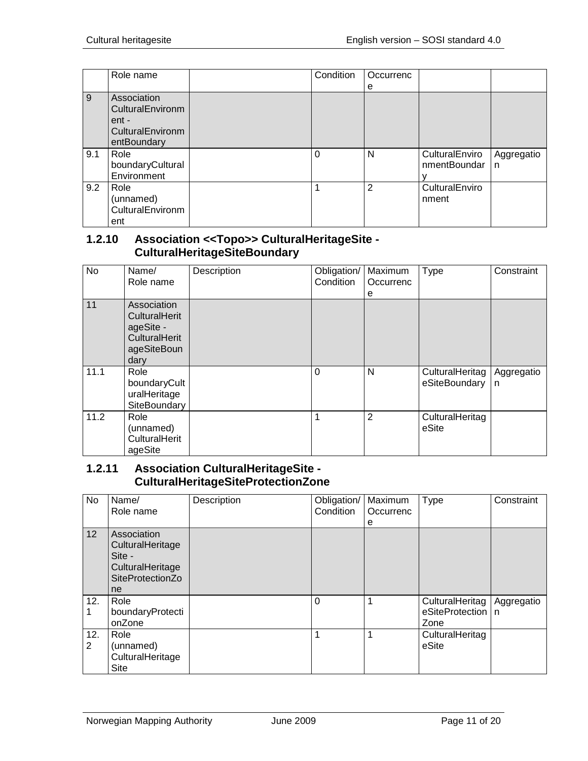|     | Role name                                                                   | Condition | Occurrenc      |                                |                 |
|-----|-----------------------------------------------------------------------------|-----------|----------------|--------------------------------|-----------------|
|     |                                                                             |           | е              |                                |                 |
| 9   | Association<br>CulturalEnvironm<br>ent -<br>CulturalEnvironm<br>entBoundary |           |                |                                |                 |
| 9.1 | Role<br>boundaryCultural<br>Environment                                     | $\Omega$  | N              | CulturalEnviro<br>nmentBoundar | Aggregatio<br>n |
| 9.2 | Role<br>(unnamed)<br>CulturalEnvironm<br>ent                                | 1         | $\overline{2}$ | CulturalEnviro<br>nment        |                 |

#### <span id="page-10-0"></span>**1.2.10 Association <<Topo>> CulturalHeritageSite - CulturalHeritageSiteBoundary**

| <b>No</b> | Name/<br>Role name                                                                              | Description | Obligation/<br>Condition | Maximum<br>Occurrenc<br>е | Type                             | Constraint      |
|-----------|-------------------------------------------------------------------------------------------------|-------------|--------------------------|---------------------------|----------------------------------|-----------------|
| 11        | Association<br><b>CulturalHerit</b><br>ageSite -<br><b>CulturalHerit</b><br>ageSiteBoun<br>dary |             |                          |                           |                                  |                 |
| 11.1      | Role<br>boundaryCult<br>uralHeritage<br>SiteBoundary                                            |             | $\Omega$                 | N                         | CulturalHeritag<br>eSiteBoundary | Aggregatio<br>n |
| 11.2      | Role<br>(unnamed)<br>CulturalHerit<br>ageSite                                                   |             | 1                        | $\overline{2}$            | CulturalHeritag<br>eSite         |                 |

#### <span id="page-10-1"></span>**1.2.11 Association CulturalHeritageSite - CulturalHeritageSiteProtectionZone**

| No       | Name/<br>Role name                                                                      | Description | Obligation/<br>Condition | Maximum<br>Occurrenc<br>е | <b>Type</b>                                    | Constraint |
|----------|-----------------------------------------------------------------------------------------|-------------|--------------------------|---------------------------|------------------------------------------------|------------|
| 12       | Association<br>CulturalHeritage<br>Site -<br>CulturalHeritage<br>SiteProtectionZo<br>ne |             |                          |                           |                                                |            |
| 12.      | Role<br>boundaryProtecti<br>onZone                                                      |             | 0                        |                           | CulturalHeritag<br>eSiteProtection   n<br>Zone | Aggregatio |
| 12.<br>2 | Role<br>(unnamed)<br>CulturalHeritage<br>Site                                           |             |                          |                           | CulturalHeritag<br>eSite                       |            |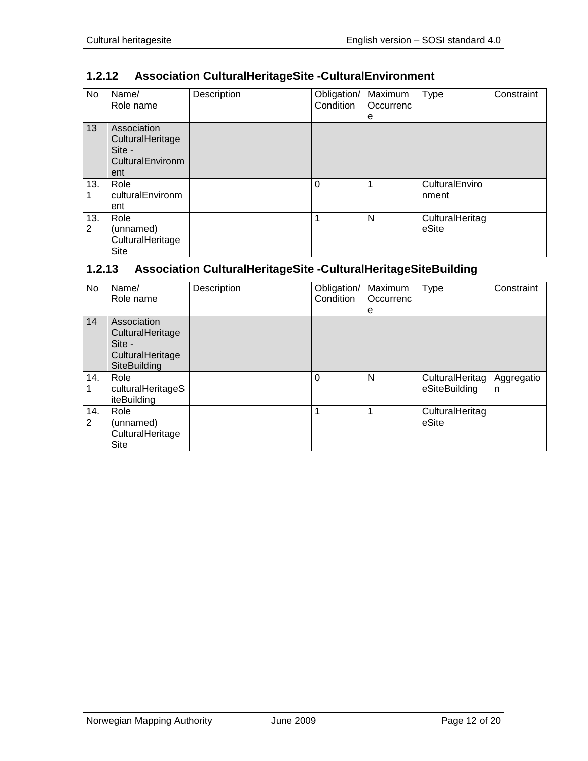## <span id="page-11-0"></span>**1.2.12 Association CulturalHeritageSite -CulturalEnvironment**

| No       | Name/<br>Role name                                                   | Description | Obligation/<br>Condition | Maximum<br>Occurrenc<br>е | <b>Type</b>              | Constraint |
|----------|----------------------------------------------------------------------|-------------|--------------------------|---------------------------|--------------------------|------------|
| 13       | Association<br>CulturalHeritage<br>Site -<br>CulturalEnvironm<br>ent |             |                          |                           |                          |            |
| 13.      | Role<br>culturalEnvironm<br>ent                                      |             | $\Omega$                 | 1                         | CulturalEnviro<br>nment  |            |
| 13.<br>2 | Role<br>(unnamed)<br>CulturalHeritage<br>Site                        |             | 1                        | N                         | CulturalHeritag<br>eSite |            |

## <span id="page-11-1"></span>**1.2.13 Association CulturalHeritageSite -CulturalHeritageSiteBuilding**

| No.      | Name/<br>Role name                                                            | Description | Obligation/<br>Condition | Maximum<br>Occurrenc<br>е | Type                             | Constraint      |
|----------|-------------------------------------------------------------------------------|-------------|--------------------------|---------------------------|----------------------------------|-----------------|
| 14       | Association<br>CulturalHeritage<br>Site -<br>CulturalHeritage<br>SiteBuilding |             |                          |                           |                                  |                 |
| 14.      | Role<br>culturalHeritageS<br>iteBuilding                                      |             | $\Omega$                 | N                         | CulturalHeritag<br>eSiteBuilding | Aggregatio<br>n |
| 14.<br>2 | Role<br>(unnamed)<br>CulturalHeritage<br>Site                                 |             | 1                        | 1                         | CulturalHeritag<br>eSite         |                 |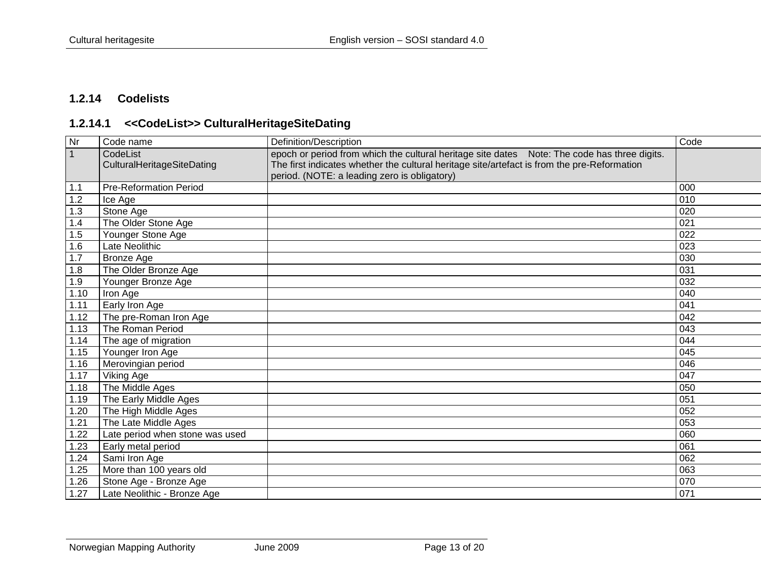## **1.2.14 Codelists**

# **1.2.14.1 <<CodeList>> CulturalHeritageSiteDating**

<span id="page-12-1"></span><span id="page-12-0"></span>

| Nr           | Code name                       | Definition/Description                                                                       | Code |
|--------------|---------------------------------|----------------------------------------------------------------------------------------------|------|
| $\mathbf{1}$ | CodeList                        | epoch or period from which the cultural heritage site dates Note: The code has three digits. |      |
|              | CulturalHeritageSiteDating      | The first indicates whether the cultural heritage site/artefact is from the pre-Reformation  |      |
|              |                                 | period. (NOTE: a leading zero is obligatory)                                                 |      |
| 1.1          | <b>Pre-Reformation Period</b>   |                                                                                              | 000  |
| 1.2          | Ice Age                         |                                                                                              | 010  |
| 1.3          | Stone Age                       |                                                                                              | 020  |
| 1.4          | The Older Stone Age             |                                                                                              | 021  |
| 1.5          | Younger Stone Age               |                                                                                              | 022  |
| 1.6          | Late Neolithic                  |                                                                                              | 023  |
| 1.7          | <b>Bronze Age</b>               |                                                                                              | 030  |
| 1.8          | The Older Bronze Age            |                                                                                              | 031  |
| 1.9          | Younger Bronze Age              |                                                                                              | 032  |
| 1.10         | Iron Age                        |                                                                                              | 040  |
| 1.11         | Early Iron Age                  |                                                                                              | 041  |
| 1.12         | The pre-Roman Iron Age          |                                                                                              | 042  |
| 1.13         | The Roman Period                |                                                                                              | 043  |
| 1.14         | The age of migration            |                                                                                              | 044  |
| 1.15         | Younger Iron Age                |                                                                                              | 045  |
| 1.16         | Merovingian period              |                                                                                              | 046  |
| 1.17         | Viking Age                      |                                                                                              | 047  |
| 1.18         | The Middle Ages                 |                                                                                              | 050  |
| 1.19         | The Early Middle Ages           |                                                                                              | 051  |
| 1.20         | The High Middle Ages            |                                                                                              | 052  |
| 1.21         | The Late Middle Ages            |                                                                                              | 053  |
| 1.22         | Late period when stone was used |                                                                                              | 060  |
| 1.23         | Early metal period              |                                                                                              | 061  |
| 1.24         | Sami Iron Age                   |                                                                                              | 062  |
| 1.25         | More than 100 years old         |                                                                                              | 063  |
| 1.26         | Stone Age - Bronze Age          |                                                                                              | 070  |
| 1.27         | Late Neolithic - Bronze Age     |                                                                                              | 071  |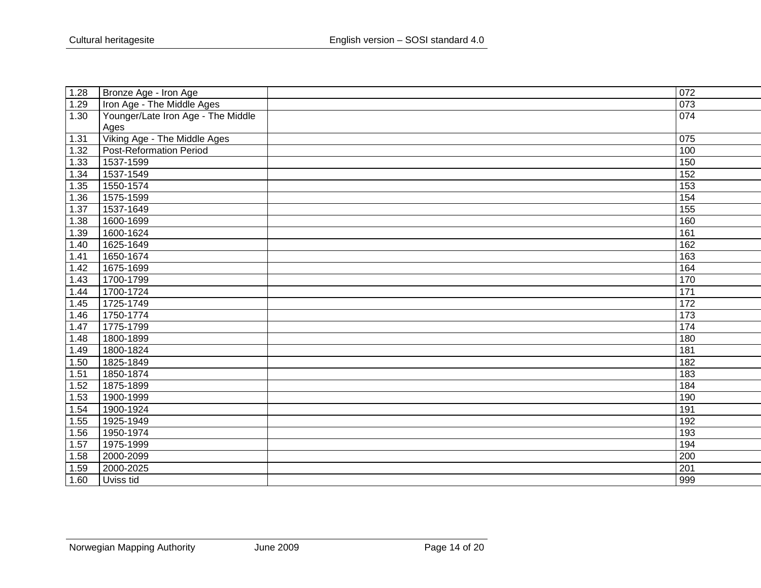| 1.28   | Bronze Age - Iron Age              | 072              |
|--------|------------------------------------|------------------|
| 1.29   | Iron Age - The Middle Ages         | 073              |
| 1.30   | Younger/Late Iron Age - The Middle | 074              |
|        | Ages                               |                  |
| 1.31   | Viking Age - The Middle Ages       | $\overline{075}$ |
| 1.32   | <b>Post-Reformation Period</b>     | 100              |
| 1.33   | 1537-1599                          | 150              |
| 1.34   | 1537-1549                          | 152              |
| 1.35   | 1550-1574                          | 153              |
| 1.36   | 1575-1599                          | 154              |
| 1.37   | 1537-1649                          | $\overline{155}$ |
| 1.38   | 1600-1699                          | 160              |
| 1.39   | 1600-1624                          | 161              |
| $1.40$ | 1625-1649                          | 162              |
| 1.41   | 1650-1674                          | 163              |
| 1.42   | 1675-1699                          | 164              |
| 1.43   | 1700-1799                          | 170              |
| 1.44   | 1700-1724                          | 171              |
| 1.45   | 1725-1749                          | 172              |
| 1.46   | 1750-1774                          | 173              |
| 1.47   | 1775-1799                          | 174              |
| 1.48   | 1800-1899                          | 180              |
| 1.49   | 1800-1824                          | 181              |
| 1.50   | 1825-1849                          | 182              |
| 1.51   | 1850-1874                          | 183              |
| 1.52   | 1875-1899                          | 184              |
| 1.53   | 1900-1999                          | 190              |
| 1.54   | 1900-1924                          | 191              |
| 1.55   | 1925-1949                          | 192              |
| 1.56   | 1950-1974                          | 193              |
| 1.57   | 1975-1999                          | 194              |
| 1.58   | 2000-2099                          | 200              |
| 1.59   | 2000-2025                          | $\overline{201}$ |
| 1.60   | Uviss tid                          | 999              |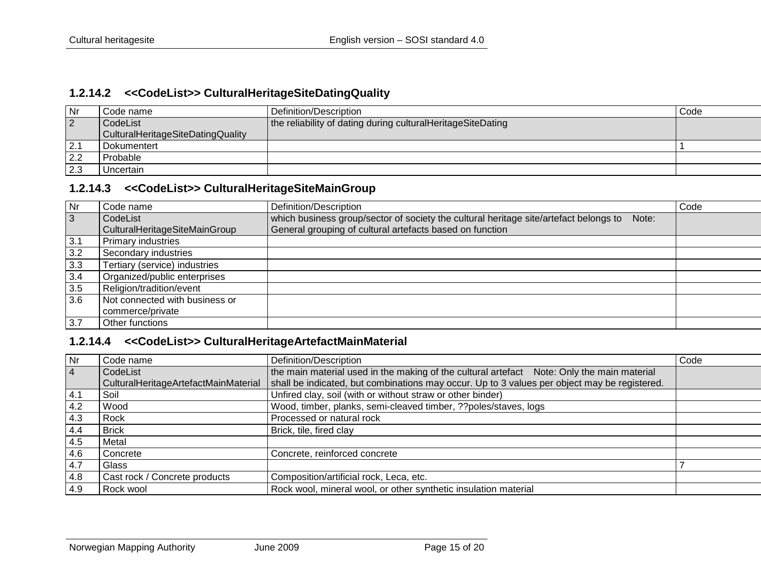#### **1.2.14.2 <<CodeList>> CulturalHeritageSiteDatingQuality**

| Nr        | Code name                         | Definition/Description                                      | Code |
|-----------|-----------------------------------|-------------------------------------------------------------|------|
| $\vert$ 2 | CodeList                          | the reliability of dating during culturalHeritageSiteDating |      |
|           | CulturalHeritageSiteDatingQuality |                                                             |      |
| 2.1       | Dokumentert                       |                                                             |      |
| 2.2       | Probable                          |                                                             |      |
| 2.3       | Uncertain                         |                                                             |      |

#### **1.2.14.3 <<CodeList>> CulturalHeritageSiteMainGroup**

<span id="page-14-0"></span>

| $\overline{\mathsf{N}}$ r | Code name                      | Definition/Description                                                                         | Code |
|---------------------------|--------------------------------|------------------------------------------------------------------------------------------------|------|
| $\overline{3}$            | CodeList                       | which business group/sector of society the cultural heritage site/artefact belongs to<br>Note: |      |
|                           | CulturalHeritageSiteMainGroup  | General grouping of cultural artefacts based on function                                       |      |
| 3.1                       | <b>Primary industries</b>      |                                                                                                |      |
| 3.2                       | Secondary industries           |                                                                                                |      |
| 3.3                       | Tertiary (service) industries  |                                                                                                |      |
| 3.4                       | Organized/public enterprises   |                                                                                                |      |
| 3.5                       | Religion/tradition/event       |                                                                                                |      |
| 3.6                       | Not connected with business or |                                                                                                |      |
|                           | commerce/private               |                                                                                                |      |
| 3.7                       | Other functions                |                                                                                                |      |

#### **1.2.14.4 <<CodeList>> CulturalHeritageArtefactMainMaterial**

<span id="page-14-2"></span><span id="page-14-1"></span>

| Nr             | Code name                            | Definition/Description                                                                       | Code |
|----------------|--------------------------------------|----------------------------------------------------------------------------------------------|------|
| $\overline{4}$ | CodeList                             | the main material used in the making of the cultural artefact Note: Only the main material   |      |
|                | CulturalHeritageArtefactMainMaterial | shall be indicated, but combinations may occur. Up to 3 values per object may be registered. |      |
| $4.1$          | Soil                                 | Unfired clay, soil (with or without straw or other binder)                                   |      |
| 4.2            | Wood                                 | Wood, timber, planks, semi-cleaved timber, ??poles/staves, logs                              |      |
| 4.3            | Rock                                 | Processed or natural rock                                                                    |      |
| 4.4            | <b>Brick</b>                         | Brick, tile, fired clay                                                                      |      |
| 4.5            | Metal                                |                                                                                              |      |
| 4.6            | Concrete                             | Concrete, reinforced concrete                                                                |      |
| 4.7            | Glass                                |                                                                                              |      |
| 4.8            | Cast rock / Concrete products        | Composition/artificial rock, Leca, etc.                                                      |      |
| 4.9            | Rock wool                            | Rock wool, mineral wool, or other synthetic insulation material                              |      |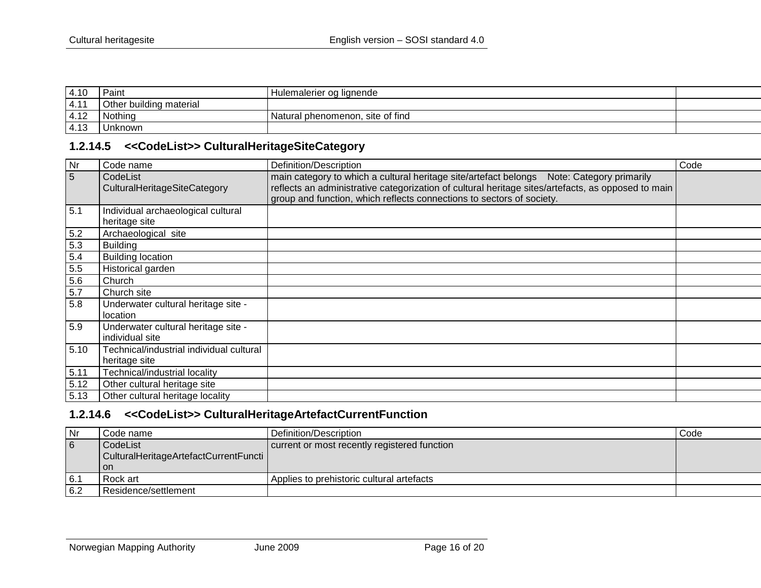| 4.10 | Paint                   | Hulemalerier og lignende         |  |
|------|-------------------------|----------------------------------|--|
| 4.11 | Other building material |                                  |  |
| 4.12 | Nothing                 | Natural phenomenon, site of find |  |
| 4.13 | Unknown                 |                                  |  |

#### **1.2.14.5 <<CodeList>> CulturalHeritageSiteCategory**

| Nr             | Code name                                                 | Definition/Description                                                                                                                                                                                                                                                   | Code |
|----------------|-----------------------------------------------------------|--------------------------------------------------------------------------------------------------------------------------------------------------------------------------------------------------------------------------------------------------------------------------|------|
| $\overline{5}$ | CodeList<br>CulturalHeritageSiteCategory                  | main category to which a cultural heritage site/artefact belongs Note: Category primarily<br>reflects an administrative categorization of cultural heritage sites/artefacts, as opposed to main<br>group and function, which reflects connections to sectors of society. |      |
| 5.1            | Individual archaeological cultural<br>heritage site       |                                                                                                                                                                                                                                                                          |      |
| 5.2            | Archaeological site                                       |                                                                                                                                                                                                                                                                          |      |
| 5.3            | <b>Building</b>                                           |                                                                                                                                                                                                                                                                          |      |
| 5.4            | <b>Building location</b>                                  |                                                                                                                                                                                                                                                                          |      |
| 5.5            | Historical garden                                         |                                                                                                                                                                                                                                                                          |      |
| 5.6            | Church                                                    |                                                                                                                                                                                                                                                                          |      |
| 5.7            | Church site                                               |                                                                                                                                                                                                                                                                          |      |
| 5.8            | Underwater cultural heritage site -<br>location           |                                                                                                                                                                                                                                                                          |      |
| 5.9            | Underwater cultural heritage site -<br>individual site    |                                                                                                                                                                                                                                                                          |      |
| 5.10           | Technical/industrial individual cultural<br>heritage site |                                                                                                                                                                                                                                                                          |      |
| 5.11           | Technical/industrial locality                             |                                                                                                                                                                                                                                                                          |      |
| 5.12           | Other cultural heritage site                              |                                                                                                                                                                                                                                                                          |      |
| 5.13           | Other cultural heritage locality                          |                                                                                                                                                                                                                                                                          |      |

# <span id="page-15-0"></span>**1.2.14.6 <<CodeList>> CulturalHeritageArtefactCurrentFunction**

<span id="page-15-1"></span>

| Nr              | Code name                                         | Definition/Description                       | Code |
|-----------------|---------------------------------------------------|----------------------------------------------|------|
| $6\overline{6}$ | CodeList<br>CulturalHeritageArtefactCurrentFuncti | current or most recently registered function |      |
|                 | l on                                              |                                              |      |
| 6.1             | Rock art                                          | Applies to prehistoric cultural artefacts    |      |
| 6.2             | Residence/settlement                              |                                              |      |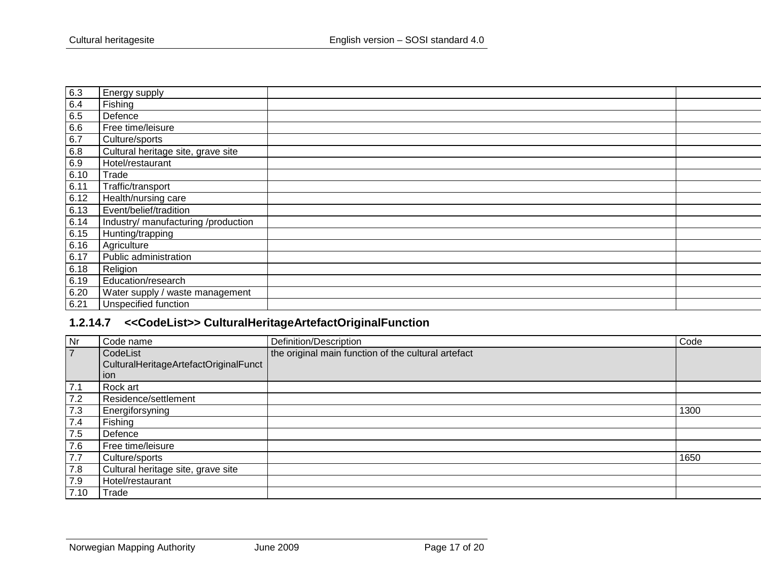| 6.3  | Energy supply                       |  |
|------|-------------------------------------|--|
| 6.4  | Fishing                             |  |
| 6.5  | Defence                             |  |
| 6.6  | Free time/leisure                   |  |
| 6.7  | Culture/sports                      |  |
| 6.8  | Cultural heritage site, grave site  |  |
| 6.9  | Hotel/restaurant                    |  |
| 6.10 | Trade                               |  |
| 6.11 | Traffic/transport                   |  |
| 6.12 | Health/nursing care                 |  |
| 6.13 | Event/belief/tradition              |  |
| 6.14 | Industry/ manufacturing /production |  |
| 6.15 | Hunting/trapping                    |  |
| 6.16 | Agriculture                         |  |
| 6.17 | Public administration               |  |
| 6.18 | Religion                            |  |
| 6.19 | Education/research                  |  |
| 6.20 | Water supply / waste management     |  |
| 6.21 | Unspecified function                |  |
|      |                                     |  |

# **1.2.14.7 <<CodeList>> CulturalHeritageArtefactOriginalFunction**

<span id="page-16-0"></span>

| Nr             | Code name                             | Definition/Description                              | Code |
|----------------|---------------------------------------|-----------------------------------------------------|------|
| $\overline{7}$ | CodeList                              | the original main function of the cultural artefact |      |
|                | CulturalHeritageArtefactOriginalFunct |                                                     |      |
|                | ion                                   |                                                     |      |
| 7.1            | Rock art                              |                                                     |      |
| 7.2            | Residence/settlement                  |                                                     |      |
| 7.3            | Energiforsyning                       |                                                     | 1300 |
| 7.4            | Fishing                               |                                                     |      |
| 7.5            | Defence                               |                                                     |      |
| 7.6            | Free time/leisure                     |                                                     |      |
| 7.7            | Culture/sports                        |                                                     | 1650 |
| 7.8            | Cultural heritage site, grave site    |                                                     |      |
| 7.9            | Hotel/restaurant                      |                                                     |      |
| 7.10           | Trade                                 |                                                     |      |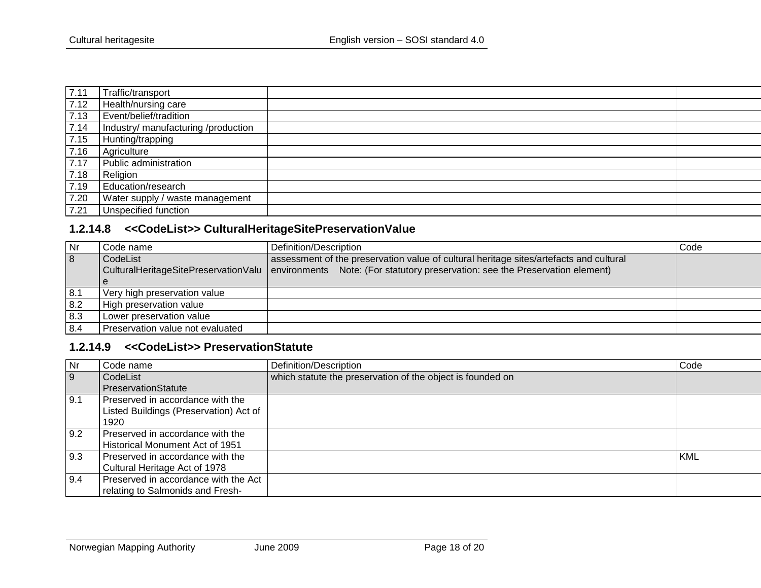| 7.11 | Traffic/transport                   |  |
|------|-------------------------------------|--|
| 7.12 | Health/nursing care                 |  |
| 7.13 | Event/belief/tradition              |  |
| 7.14 | Industry/ manufacturing /production |  |
| 7.15 | Hunting/trapping                    |  |
| 7.16 | Agriculture                         |  |
| 7.17 | Public administration               |  |
| 7.18 | Religion                            |  |
| 7.19 | Education/research                  |  |
| 7.20 | Water supply / waste management     |  |
| 7.21 | Unspecified function                |  |

## **1.2.14.8 <<CodeList>> CulturalHeritageSitePreservationValue**

| <b>Nr</b>      | Code name                        | Definition/Description                                                                                             | Code |
|----------------|----------------------------------|--------------------------------------------------------------------------------------------------------------------|------|
| $\overline{8}$ | l CodeList                       | assessment of the preservation value of cultural heritage sites/artefacts and cultural                             |      |
|                |                                  | CulturalHeritageSitePreservationValu environments Note: (For statutory preservation: see the Preservation element) |      |
|                |                                  |                                                                                                                    |      |
| 8.1            | Very high preservation value     |                                                                                                                    |      |
| 8.2            | High preservation value          |                                                                                                                    |      |
| 8.3            | Lower preservation value         |                                                                                                                    |      |
| 8.4            | Preservation value not evaluated |                                                                                                                    |      |

## **1.2.14.9 <<CodeList>> PreservationStatute**

<span id="page-17-1"></span><span id="page-17-0"></span>

| Nr             | Code name                              | Definition/Description                                     | Code       |
|----------------|----------------------------------------|------------------------------------------------------------|------------|
| $\overline{9}$ | CodeList                               | which statute the preservation of the object is founded on |            |
|                | PreservationStatute                    |                                                            |            |
| 9.1            | Preserved in accordance with the       |                                                            |            |
|                | Listed Buildings (Preservation) Act of |                                                            |            |
|                | 1920                                   |                                                            |            |
| 9.2            | Preserved in accordance with the       |                                                            |            |
|                | Historical Monument Act of 1951        |                                                            |            |
| 9.3            | Preserved in accordance with the       |                                                            | <b>KML</b> |
|                | Cultural Heritage Act of 1978          |                                                            |            |
| 9.4            | Preserved in accordance with the Act   |                                                            |            |
|                | relating to Salmonids and Fresh-       |                                                            |            |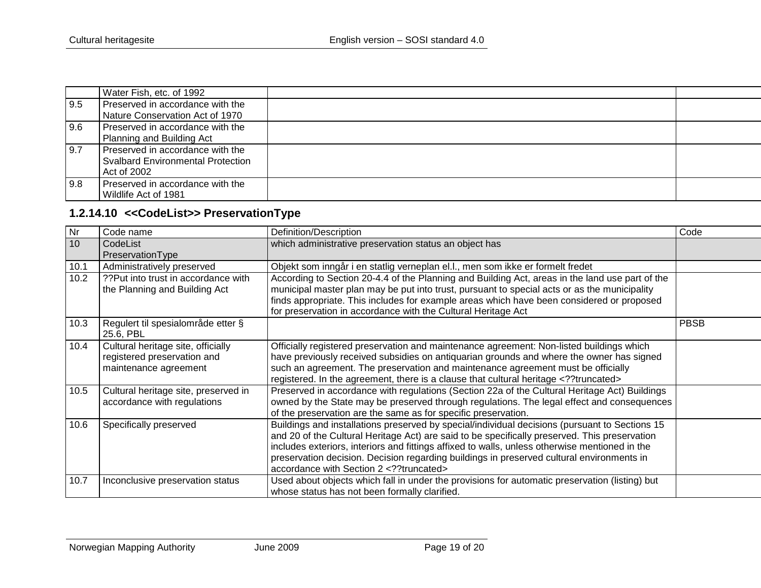|     | Water Fish, etc. of 1992                 |  |
|-----|------------------------------------------|--|
| 9.5 | Preserved in accordance with the         |  |
|     | Nature Conservation Act of 1970          |  |
| 9.6 | Preserved in accordance with the         |  |
|     | Planning and Building Act                |  |
| 9.7 | Preserved in accordance with the         |  |
|     | <b>Svalbard Environmental Protection</b> |  |
|     | Act of 2002                              |  |
| 9.8 | Preserved in accordance with the         |  |
|     | Wildlife Act of 1981                     |  |

# **1.2.14.10 <<CodeList>> PreservationType**

<span id="page-18-0"></span>

| Nr              | Code name                             | Definition/Description                                                                          | Code        |
|-----------------|---------------------------------------|-------------------------------------------------------------------------------------------------|-------------|
| 10 <sup>1</sup> | CodeList                              | which administrative preservation status an object has                                          |             |
|                 | PreservationType                      |                                                                                                 |             |
| 10.1            | Administratively preserved            | Objekt som inngår i en statlig verneplan el.l., men som ikke er formelt fredet                  |             |
| 10.2            | ?? Put into trust in accordance with? | According to Section 20-4.4 of the Planning and Building Act, areas in the land use part of the |             |
|                 | the Planning and Building Act         | municipal master plan may be put into trust, pursuant to special acts or as the municipality    |             |
|                 |                                       | finds appropriate. This includes for example areas which have been considered or proposed       |             |
|                 |                                       | for preservation in accordance with the Cultural Heritage Act                                   |             |
| 10.3            | Regulert til spesialområde etter §    |                                                                                                 | <b>PBSB</b> |
|                 | 25.6, PBL                             |                                                                                                 |             |
| 10.4            | Cultural heritage site, officially    | Officially registered preservation and maintenance agreement: Non-listed buildings which        |             |
|                 | registered preservation and           | have previously received subsidies on antiquarian grounds and where the owner has signed        |             |
|                 | maintenance agreement                 | such an agreement. The preservation and maintenance agreement must be officially                |             |
|                 |                                       | registered. In the agreement, there is a clause that cultural heritage ?truncated               |             |
| 10.5            | Cultural heritage site, preserved in  | Preserved in accordance with regulations (Section 22a of the Cultural Heritage Act) Buildings   |             |
|                 | accordance with regulations           | owned by the State may be preserved through regulations. The legal effect and consequences      |             |
|                 |                                       | of the preservation are the same as for specific preservation.                                  |             |
| 10.6            | Specifically preserved                | Buildings and installations preserved by special/individual decisions (pursuant to Sections 15  |             |
|                 |                                       | and 20 of the Cultural Heritage Act) are said to be specifically preserved. This preservation   |             |
|                 |                                       | includes exteriors, interiors and fittings affixed to walls, unless otherwise mentioned in the  |             |
|                 |                                       | preservation decision. Decision regarding buildings in preserved cultural environments in       |             |
|                 |                                       | accordance with Section 2 ?truncated                                                            |             |
| 10.7            | Inconclusive preservation status      | Used about objects which fall in under the provisions for automatic preservation (listing) but  |             |
|                 |                                       | whose status has not been formally clarified.                                                   |             |